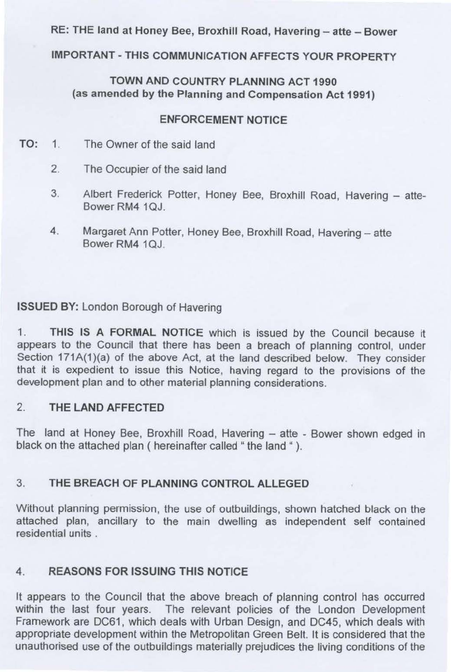RE: THE land at Honey Bee, Broxhill Road, Havering - atte - Bower

# **IMPORTANT-THIS COMMUNICATION AFFECTS YOUR PROPERTY**

## **TOWN AND COUNTRY PLANNING ACT 1990 (as amended by the Planning and Compensation Act 1991)**

#### **ENFORCEMENT NOTICE**

- TO: 1. The Owner of the said land
	- 2. The Occupier of the said land
	- 3. Albert Frederick Potter, Honey Bee, Broxhill Road, Havering atte-Bower RM4 10J
	- 4. Margaret Ann Potter, Honey Bee, Broxhill Road, Havering atte Bower RM4 1QJ.

## **ISSUED BY:** London Borough of Havering

1. **THIS IS A FORMAL NOTICE** which is issued by the Council because it appears to the Council that there has been a breach of planning control, under Section 171A(1)(a) of the above Act, at the land described below. They consider that it is expedient to issue this Notice, having regard to the provisions of the development plan and to other material planning considerations.

#### 2. **THE LAND AFFECTED**

The land at Honey Bee, Broxhill Road, Havering - atte - Bower shown edged in black on the attached plan ( hereinafter called " the land " ).

## 3. **THE BREACH OF PLANNING CONTROL ALLEGED**

Without planning permission, the use of outbuildings, shown hatched black on the attached plan, ancillary to the main dwelling as independent self contained residential units .

## **4. REASONS FOR ISSUING THIS NOTICE**

It appears to the Council that the above breach of planning control has occurred within the last four years. The relevant policies of the London Development Framework are DC61, which deals with Urban Design, and DC45, which deals with appropriate development within the Metropolitan Green Belt. It is considered that the unauthorised use of the outbuildings materially prejudices the living conditions of the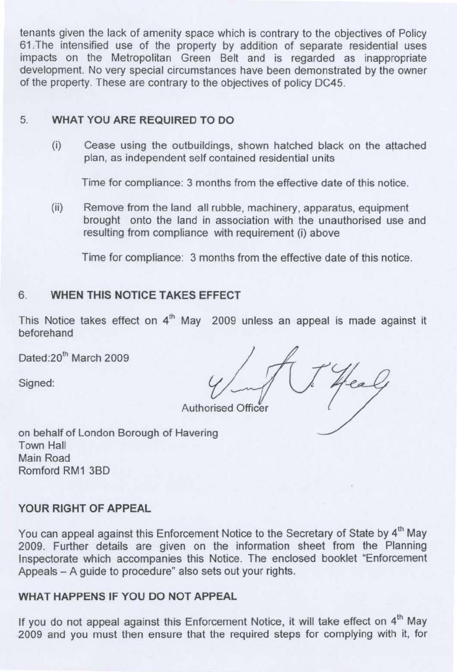tenants given the lack of amenity space which is contrary to the objectives of Policy 61 .The intensified use of the property by addition of separate residential uses impacts on the Metropolitan Green Belt and is regarded as inappropriate development. No very special circumstances have been demonstrated by the owner of the property. These are contrary to the objectives of policy DC45.

#### 5. **WHAT YOU ARE REQUIRED TO DO**

(i) Cease using the outbuildings, shown hatched black on the attached plan, as independent self contained residential units

Time for compliance: 3 months from the effective date of this notice.

(ii) Remove from the land all rubble, machinery, apparatus, equipment brought onto the land in association with the unauthorised use and resulting from compliance with requirement (i) above

Time for compliance: 3 months from the effective date of this notice.

#### 6. **WHEN THIS NOTICE TAKES EFFECT**

This Notice takes effect on  $4<sup>th</sup>$  May 2009 unless an appeal is made against it beforehand

Dated:20<sup>th</sup> March 2009

Signed:

Authorised Officer

on behalf of London Borough of Havering Town Hall Main Road Romford RM1 380

#### **YOUR RIGHT OF APPEAL**

You can appeal against this Enforcement Notice to the Secretary of State by 4<sup>th</sup> May 2009. Further details are given on the information sheet from the Planning Inspectorate which accompanies this Notice. The enclosed booklet "Enforcement Appeals - A guide to procedure" also sets out your rights.

## **WHAT HAPPENS IF YOU DO NOT APPEAL**

If you do not appeal against this Enforcement Notice, it will take effect on 4<sup>th</sup> May 2009 and you must then ensure that the required steps for complying with it, for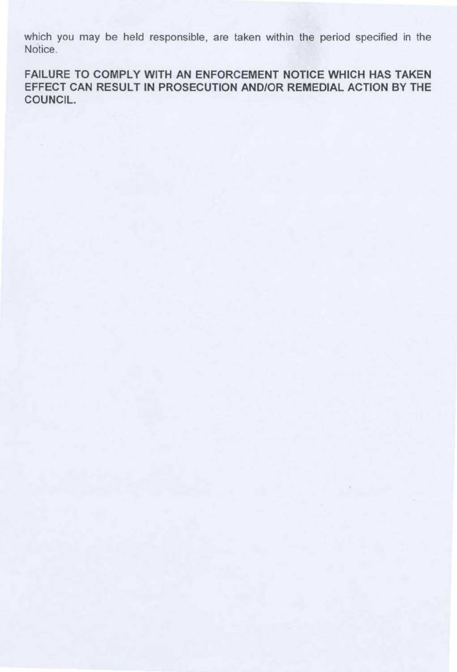which you may be held responsible, are taken within the period specified in the Notice.

FAILURE TO COMPLY WITH AN ENFORCEMENT NOTICE WHICH HAS TAKEN EFFECT CAN RESULT IN PROSECUTION AND/OR REMEDIAL ACTION BY THE COUNCIL.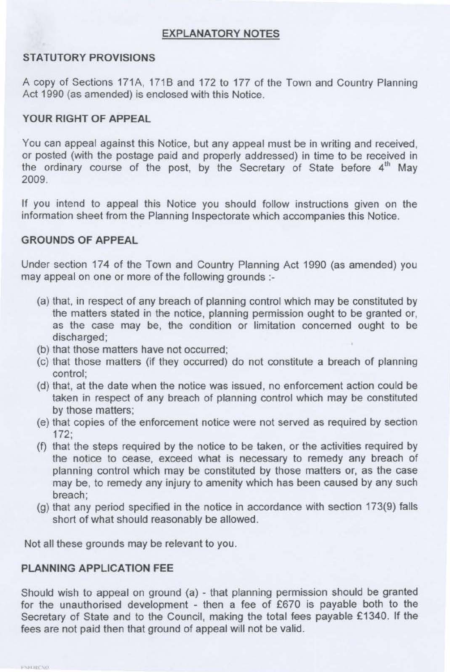#### **EXPLANATORY NOTES**

#### **STATUTORY PROVISIONS**

A copy of Sections 171A, 171B and 172 to 177 of the Town and Country Planning Act 1990 (as amended) is enclosed with this Notice.

#### **YOUR RIGHT OF APPEAL**

You can appeal against this Notice, but any appeal must be in writing and received, or posted (with the postage paid and properly addressed) in time to be received in the ordinary course of the post, by the Secretary of State before 4<sup>th</sup> May 2009.

If you intend to appeal this Notice you should follow instructions given on the information sheet from the Planning Inspectorate which accompanies this Notice.

#### **GROUNDS OF APPEAL**

Under section 174 of the Town and Country Planning Act 1990 (as amended) you may appeal on one or more of the following grounds :-

- (a) that, in respect of any breach of planning control which may be constituted by the matters stated in the notice, planning permission ought to be granted or, as the case may be, the condition or limitation concerned ought to be discharged;
- (b) that those matters have not occurred;
- (c) that those matters (if they occurred) do not constitute a breach of planning control;
- (d) that, at the date when the notice was issued, no enforcement action could be taken in respect of any breach of planning control which may be constituted by those matters;
- (e) that copies of the enforcement notice were not served as required by section 172;
- (f) that the steps required by the notice to be taken, or the activities required by the notice to cease, exceed what is necessary to remedy any breach of planning control which may be constituted by those matters or, as the case may be, to remedy any injury to amenity which has been caused by any such breach;
- (g) that any period specified in the notice in accordance with section 173(9) falls short of what should reasonably be allowed.

Not all these grounds may be relevant to you.

## **PLANNING APPLICATION** FEE

Should wish to appeal on ground (a) - that planning permission should be granted for the unauthorised development - then a fee of £670 is payable both to the Secretary of State and to the Council, making the total fees payable £1340. If the fees are not paid then that ground of appeal will not be valid.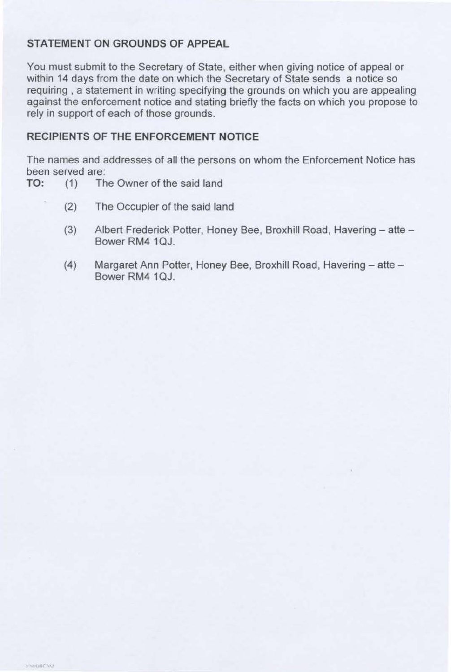## **STATEMENT ON GROUNDS OF APPEAL**

You must submit to the Secretary of State, either when giving notice of appeal or within 14 days from the date on which the Secretary of State sends a notice so requiring , a statement in writing specifying the grounds on which you are appealing against the enforcement notice and stating briefly the facts on which you propose to rely in support of each of those grounds.

## **RECIPIENTS OF THE ENFORCEMENT NOTICE**

The names and addresses of all the persons on whom the Enforcement Notice has been served are:

- TO: (1) The Owner of the said land
	- (2) The Occupier of the said land
	- (3) Albert Frederick Potter, Honey Bee, Broxhill Road, Havering atte -Bower RM4 1QJ.
	- (4) Margaret Ann Potter, Honey Bee, Broxhill Road, Havering atte -Bower RM4 10J.